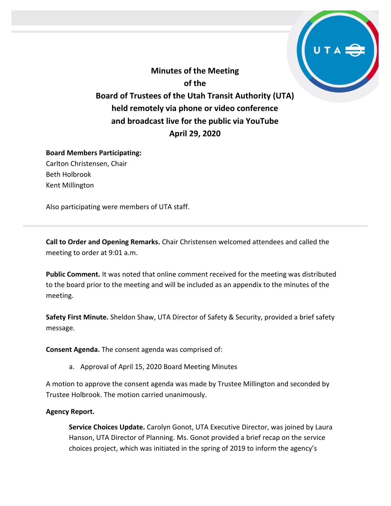**Minutes of the Meeting of the Board of Trustees of the Utah Transit Authority (UTA) held remotely via phone or video conference and broadcast live for the public via YouTube April 29, 2020**

## **Board Members Participating:**

Carlton Christensen, Chair Beth Holbrook Kent Millington

Also participating were members of UTA staff.

**Call to Order and Opening Remarks.** Chair Christensen welcomed attendees and called the meeting to order at 9:01 a.m.

**Public Comment.** It was noted that online comment received for the meeting was distributed to the board prior to the meeting and will be included as an appendix to the minutes of the meeting.

**Safety First Minute.** Sheldon Shaw, UTA Director of Safety & Security, provided a brief safety message.

**Consent Agenda.** The consent agenda was comprised of:

a. Approval of April 15, 2020 Board Meeting Minutes

A motion to approve the consent agenda was made by Trustee Millington and seconded by Trustee Holbrook. The motion carried unanimously.

## **Agency Report.**

**Service Choices Update.** Carolyn Gonot, UTA Executive Director, was joined by Laura Hanson, UTA Director of Planning. Ms. Gonot provided a brief recap on the service choices project, which was initiated in the spring of 2019 to inform the agency's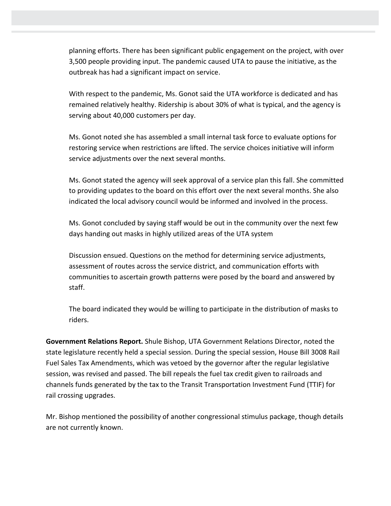planning efforts. There has been significant public engagement on the project, with over 3,500 people providing input. The pandemic caused UTA to pause the initiative, as the outbreak has had a significant impact on service.

With respect to the pandemic, Ms. Gonot said the UTA workforce is dedicated and has remained relatively healthy. Ridership is about 30% of what is typical, and the agency is serving about 40,000 customers per day.

Ms. Gonot noted she has assembled a small internal task force to evaluate options for restoring service when restrictions are lifted. The service choices initiative will inform service adjustments over the next several months.

Ms. Gonot stated the agency will seek approval of a service plan this fall. She committed to providing updates to the board on this effort over the next several months. She also indicated the local advisory council would be informed and involved in the process.

Ms. Gonot concluded by saying staff would be out in the community over the next few days handing out masks in highly utilized areas of the UTA system

Discussion ensued. Questions on the method for determining service adjustments, assessment of routes across the service district, and communication efforts with communities to ascertain growth patterns were posed by the board and answered by staff.

The board indicated they would be willing to participate in the distribution of masks to riders.

**Government Relations Report.** Shule Bishop, UTA Government Relations Director, noted the state legislature recently held a special session. During the special session, House Bill 3008 Rail Fuel Sales Tax Amendments, which was vetoed by the governor after the regular legislative session, was revised and passed. The bill repeals the fuel tax credit given to railroads and channels funds generated by the tax to the Transit Transportation Investment Fund (TTIF) for rail crossing upgrades.

Mr. Bishop mentioned the possibility of another congressional stimulus package, though details are not currently known.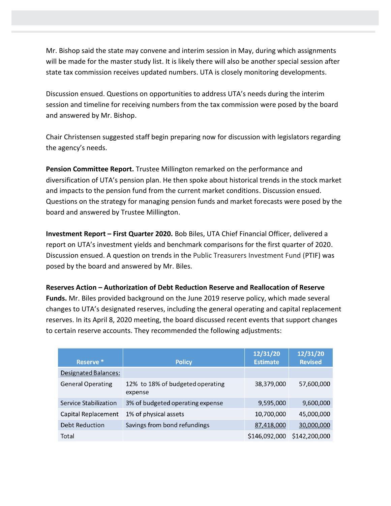Mr. Bishop said the state may convene and interim session in May, during which assignments will be made for the master study list. It is likely there will also be another special session after state tax commission receives updated numbers. UTA is closely monitoring developments.

Discussion ensued. Questions on opportunities to address UTA's needs during the interim session and timeline for receiving numbers from the tax commission were posed by the board and answered by Mr. Bishop.

Chair Christensen suggested staff begin preparing now for discussion with legislators regarding the agency's needs.

**Pension Committee Report.** Trustee Millington remarked on the performance and diversification of UTA's pension plan. He then spoke about historical trends in the stock market and impacts to the pension fund from the current market conditions. Discussion ensued. Questions on the strategy for managing pension funds and market forecasts were posed by the board and answered by Trustee Millington.

**Investment Report – First Quarter 2020.** Bob Biles, UTA Chief Financial Officer, delivered a report on UTA's investment yields and benchmark comparisons for the first quarter of 2020. Discussion ensued. A question on trends in the Public Treasurers Investment Fund (PTIF) was posed by the board and answered by Mr. Biles.

#### **Reserves Action – Authorization of Debt Reduction Reserve and Reallocation of Reserve**

**Funds.** Mr. Biles provided background on the June 2019 reserve policy, which made several changes to UTA's designated reserves, including the general operating and capital replacement reserves. In its April 8, 2020 meeting, the board discussed recent events that support changes to certain reserve accounts. They recommended the following adjustments:

| Reserve <sup>*</sup>        | <b>Policy</b>                               | 12/31/20<br><b>Estimate</b> | 12/31/20<br><b>Revised</b> |
|-----------------------------|---------------------------------------------|-----------------------------|----------------------------|
| <b>Designated Balances:</b> |                                             |                             |                            |
| <b>General Operating</b>    | 12% to 18% of budgeted operating<br>expense | 38,379,000                  | 57,600,000                 |
| Service Stabilization       | 3% of budgeted operating expense            | 9,595,000                   | 9,600,000                  |
| Capital Replacement         | 1% of physical assets                       | 10,700,000                  | 45,000,000                 |
| <b>Debt Reduction</b>       | Savings from bond refundings                | 87,418,000                  | 30,000,000                 |
| Total                       |                                             | \$146,092,000               | \$142,200,000              |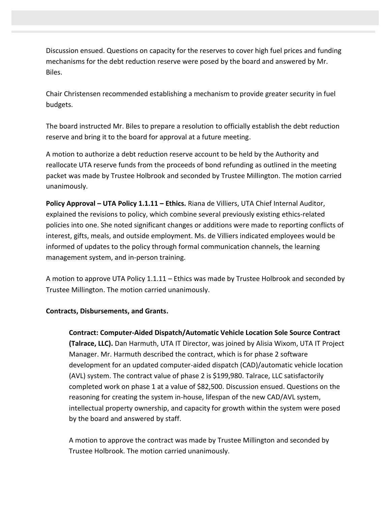Discussion ensued. Questions on capacity for the reserves to cover high fuel prices and funding mechanisms for the debt reduction reserve were posed by the board and answered by Mr. Biles.

Chair Christensen recommended establishing a mechanism to provide greater security in fuel budgets.

The board instructed Mr. Biles to prepare a resolution to officially establish the debt reduction reserve and bring it to the board for approval at a future meeting.

A motion to authorize a debt reduction reserve account to be held by the Authority and reallocate UTA reserve funds from the proceeds of bond refunding as outlined in the meeting packet was made by Trustee Holbrook and seconded by Trustee Millington. The motion carried unanimously.

**Policy Approval – UTA Policy 1.1.11 – Ethics.** Riana de Villiers, UTA Chief Internal Auditor, explained the revisions to policy, which combine several previously existing ethics-related policies into one. She noted significant changes or additions were made to reporting conflicts of interest, gifts, meals, and outside employment. Ms. de Villiers indicated employees would be informed of updates to the policy through formal communication channels, the learning management system, and in-person training.

A motion to approve UTA Policy 1.1.11 – Ethics was made by Trustee Holbrook and seconded by Trustee Millington. The motion carried unanimously.

## **Contracts, Disbursements, and Grants.**

**Contract: Computer-Aided Dispatch/Automatic Vehicle Location Sole Source Contract (Talrace, LLC).** Dan Harmuth, UTA IT Director, was joined by Alisia Wixom, UTA IT Project Manager. Mr. Harmuth described the contract, which is for phase 2 software development for an updated computer-aided dispatch (CAD)/automatic vehicle location (AVL) system. The contract value of phase 2 is \$199,980. Talrace, LLC satisfactorily completed work on phase 1 at a value of \$82,500. Discussion ensued. Questions on the reasoning for creating the system in-house, lifespan of the new CAD/AVL system, intellectual property ownership, and capacity for growth within the system were posed by the board and answered by staff.

A motion to approve the contract was made by Trustee Millington and seconded by Trustee Holbrook. The motion carried unanimously.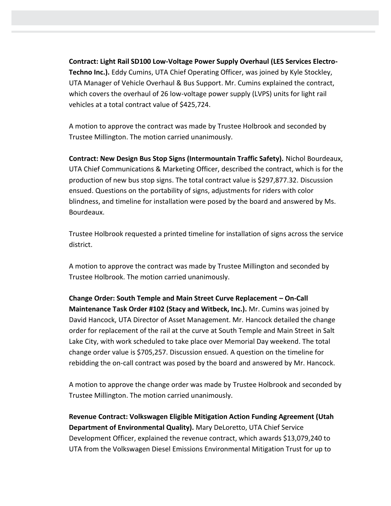**Contract: Light Rail SD100 Low-Voltage Power Supply Overhaul (LES Services Electro-Techno Inc.).** Eddy Cumins, UTA Chief Operating Officer, was joined by Kyle Stockley, UTA Manager of Vehicle Overhaul & Bus Support. Mr. Cumins explained the contract, which covers the overhaul of 26 low-voltage power supply (LVPS) units for light rail vehicles at a total contract value of \$425,724.

A motion to approve the contract was made by Trustee Holbrook and seconded by Trustee Millington. The motion carried unanimously.

**Contract: New Design Bus Stop Signs (Intermountain Traffic Safety).** Nichol Bourdeaux, UTA Chief Communications & Marketing Officer, described the contract, which is for the production of new bus stop signs. The total contract value is \$297,877.32. Discussion ensued. Questions on the portability of signs, adjustments for riders with color blindness, and timeline for installation were posed by the board and answered by Ms. Bourdeaux.

Trustee Holbrook requested a printed timeline for installation of signs across the service district.

A motion to approve the contract was made by Trustee Millington and seconded by Trustee Holbrook. The motion carried unanimously.

**Change Order: South Temple and Main Street Curve Replacement – On-Call Maintenance Task Order #102 (Stacy and Witbeck, Inc.).** Mr. Cumins was joined by David Hancock, UTA Director of Asset Management. Mr. Hancock detailed the change order for replacement of the rail at the curve at South Temple and Main Street in Salt Lake City, with work scheduled to take place over Memorial Day weekend. The total change order value is \$705,257. Discussion ensued. A question on the timeline for rebidding the on-call contract was posed by the board and answered by Mr. Hancock.

A motion to approve the change order was made by Trustee Holbrook and seconded by Trustee Millington. The motion carried unanimously.

**Revenue Contract: Volkswagen Eligible Mitigation Action Funding Agreement (Utah Department of Environmental Quality).** Mary DeLoretto, UTA Chief Service Development Officer, explained the revenue contract, which awards \$13,079,240 to UTA from the Volkswagen Diesel Emissions Environmental Mitigation Trust for up to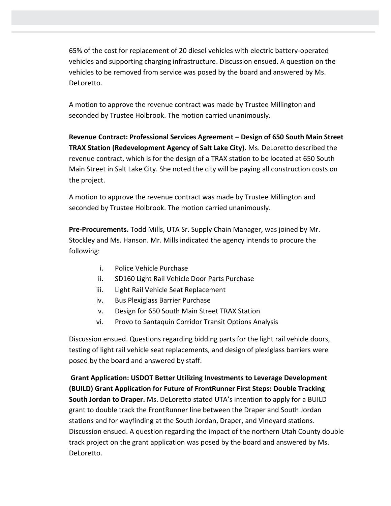65% of the cost for replacement of 20 diesel vehicles with electric battery-operated vehicles and supporting charging infrastructure. Discussion ensued. A question on the vehicles to be removed from service was posed by the board and answered by Ms. DeLoretto.

A motion to approve the revenue contract was made by Trustee Millington and seconded by Trustee Holbrook. The motion carried unanimously.

**Revenue Contract: Professional Services Agreement – Design of 650 South Main Street TRAX Station (Redevelopment Agency of Salt Lake City).** Ms. DeLoretto described the revenue contract, which is for the design of a TRAX station to be located at 650 South Main Street in Salt Lake City. She noted the city will be paying all construction costs on the project.

A motion to approve the revenue contract was made by Trustee Millington and seconded by Trustee Holbrook. The motion carried unanimously.

**Pre-Procurements.** Todd Mills, UTA Sr. Supply Chain Manager, was joined by Mr. Stockley and Ms. Hanson. Mr. Mills indicated the agency intends to procure the following:

- i. Police Vehicle Purchase
- ii. SD160 Light Rail Vehicle Door Parts Purchase
- iii. Light Rail Vehicle Seat Replacement
- iv. Bus Plexiglass Barrier Purchase
- v. Design for 650 South Main Street TRAX Station
- vi. Provo to Santaquin Corridor Transit Options Analysis

Discussion ensued. Questions regarding bidding parts for the light rail vehicle doors, testing of light rail vehicle seat replacements, and design of plexiglass barriers were posed by the board and answered by staff.

**Grant Application: USDOT Better Utilizing Investments to Leverage Development (BUILD) Grant Application for Future of FrontRunner First Steps: Double Tracking South Jordan to Draper.** Ms. DeLoretto stated UTA's intention to apply for a BUILD grant to double track the FrontRunner line between the Draper and South Jordan stations and for wayfinding at the South Jordan, Draper, and Vineyard stations. Discussion ensued. A question regarding the impact of the northern Utah County double track project on the grant application was posed by the board and answered by Ms. DeLoretto.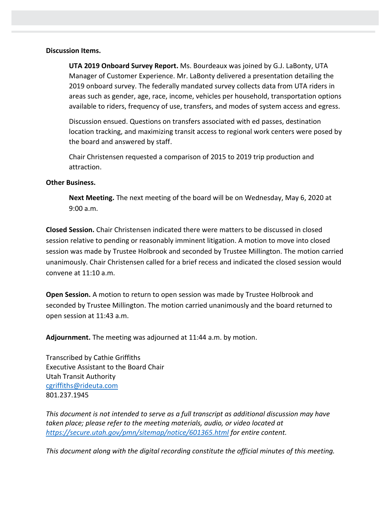#### **Discussion Items.**

**UTA 2019 Onboard Survey Report.** Ms. Bourdeaux was joined by G.J. LaBonty, UTA Manager of Customer Experience. Mr. LaBonty delivered a presentation detailing the 2019 onboard survey. The federally mandated survey collects data from UTA riders in areas such as gender, age, race, income, vehicles per household, transportation options available to riders, frequency of use, transfers, and modes of system access and egress.

Discussion ensued. Questions on transfers associated with ed passes, destination location tracking, and maximizing transit access to regional work centers were posed by the board and answered by staff.

Chair Christensen requested a comparison of 2015 to 2019 trip production and attraction.

#### **Other Business.**

**Next Meeting.** The next meeting of the board will be on Wednesday, May 6, 2020 at 9:00 a.m.

**Closed Session.** Chair Christensen indicated there were matters to be discussed in closed session relative to pending or reasonably imminent litigation. A motion to move into closed session was made by Trustee Holbrook and seconded by Trustee Millington. The motion carried unanimously. Chair Christensen called for a brief recess and indicated the closed session would convene at 11:10 a.m.

**Open Session.** A motion to return to open session was made by Trustee Holbrook and seconded by Trustee Millington. The motion carried unanimously and the board returned to open session at 11:43 a.m.

**Adjournment.** The meeting was adjourned at 11:44 a.m. by motion.

Transcribed by Cathie Griffiths Executive Assistant to the Board Chair Utah Transit Authority [cgriffiths@rideuta.com](mailto:cgriffiths@rideuta.com) 801.237.1945

*This document is not intended to serve as a full transcript as additional discussion may have taken place; please refer to the meeting materials, audio, or video located at <https://secure.utah.gov/pmn/sitemap/notice/601365.html> for entire content.*

*This document along with the digital recording constitute the official minutes of this meeting.*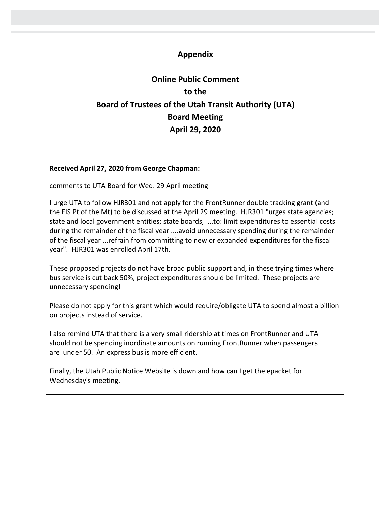## **Appendix**

# **Online Public Comment to the Board of Trustees of the Utah Transit Authority (UTA) Board Meeting April 29, 2020**

#### **Received April 27, 2020 from George Chapman:**

comments to UTA Board for Wed. 29 April meeting

I urge UTA to follow HJR301 and not apply for the FrontRunner double tracking grant (and the EIS Pt of the Mt) to be discussed at the April 29 meeting. HJR301 "urges state agencies; state and local government entities; state boards, ...to: limit expenditures to essential costs during the remainder of the fiscal year ....avoid unnecessary spending during the remainder of the fiscal year ...refrain from committing to new or expanded expenditures for the fiscal year". HJR301 was enrolled April 17th.

These proposed projects do not have broad public support and, in these trying times where bus service is cut back 50%, project expenditures should be limited. These projects are unnecessary spending!

Please do not apply for this grant which would require/obligate UTA to spend almost a billion on projects instead of service.

I also remind UTA that there is a very small ridership at times on FrontRunner and UTA should not be spending inordinate amounts on running FrontRunner when passengers are under 50. An express bus is more efficient.

Finally, the Utah Public Notice Website is down and how can I get the epacket for Wednesday's meeting.